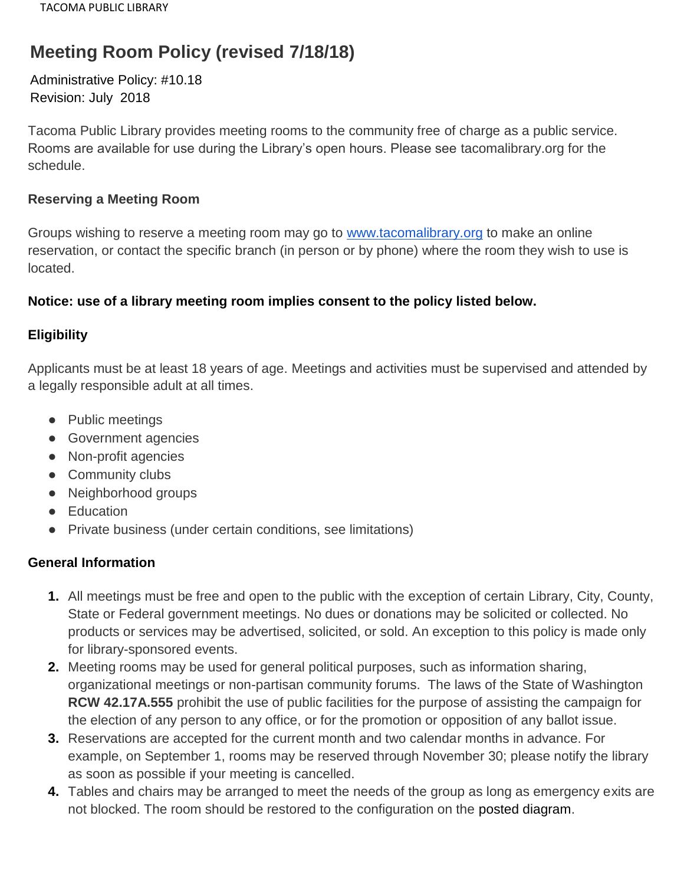# **Meeting Room Policy (revised 7/18/18)**

Administrative Policy: #10.18 Revision: July 2018

Tacoma Public Library provides meeting rooms to the community free of charge as a public service. Rooms are available for use during the Library's open hours. Please see tacomalibrary.org for the schedule.

#### **Reserving a Meeting Room**

Groups wishing to reserve a meeting room may go to [www.tacomalibrary.org](http://www.tacomalibrary.org/) to make an online reservation, or contact the specific branch (in person or by phone) where the room they wish to use is located.

### **Notice: use of a library meeting room implies consent to the policy listed below.**

### **Eligibility**

Applicants must be at least 18 years of age. Meetings and activities must be supervised and attended by a legally responsible adult at all times.

- Public meetings
- Government agencies
- Non-profit agencies
- Community clubs
- Neighborhood groups
- Education
- Private business (under certain conditions, see limitations)

### **General Information**

- **1.** All meetings must be free and open to the public with the exception of certain Library, City, County, State or Federal government meetings. No dues or donations may be solicited or collected. No products or services may be advertised, solicited, or sold. An exception to this policy is made only for library-sponsored events.
- **2.** Meeting rooms may be used for general political purposes, such as information sharing, organizational meetings or non-partisan community forums. The laws of the State of Washington **RCW 42.17A.555** prohibit the use of public facilities for the purpose of assisting the campaign for the election of any person to any office, or for the promotion or opposition of any ballot issue.
- **3.** Reservations are accepted for the current month and two calendar months in advance. For example, on September 1, rooms may be reserved through November 30; please notify the library as soon as possible if your meeting is cancelled.
- **4.** Tables and chairs may be arranged to meet the needs of the group as long as emergency exits are not blocked. The room should be restored to the configuration on the posted diagram.